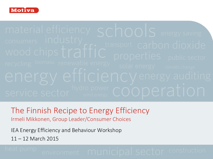

material efficiency schools energy saving

The Finnish Recipe to Energy Efficiency Irmeli Mikkonen, Group Leader/Consumer Choices

IEA Energy Efficiency and Behaviour Workshop

11 – 12 March 2015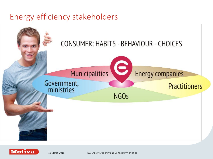### Energy efficiency stakeholders



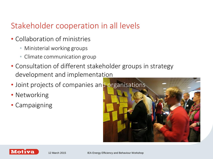## Stakeholder cooperation in all levels

- Collaboration of ministries
	- Ministerial working groups
	- Climate communication group
- Consultation of different stakeholder groups in strategy development and implementation
- Joint projects of companies and organisations
- Networking
- Campaigning



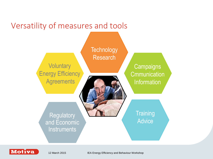

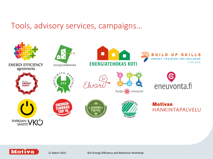### Tools, advisory services, campaigns…



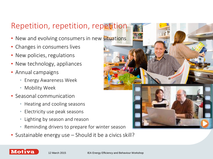# Repetition, repetition, repetition

- New and evolving consumers in new situations
- Changes in consumers lives
- New policies, regulations
- New technology, appliances
- Annual campaigns
	- Energy Awareness Week
	- Mobility Week
- Seasonal communication
	- Heating and cooling seasons
	- Electricity use peak seasons
	- Lighting by season and reason
	- Reminding drivers to prepare for winter season
- Sustainable energy use Should it be a civics skill?



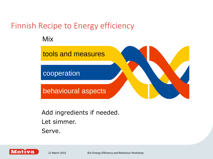# Finnish Recipe to Energy efficiency

Mix



Add ingredients if needed. Let simmer. Serve.